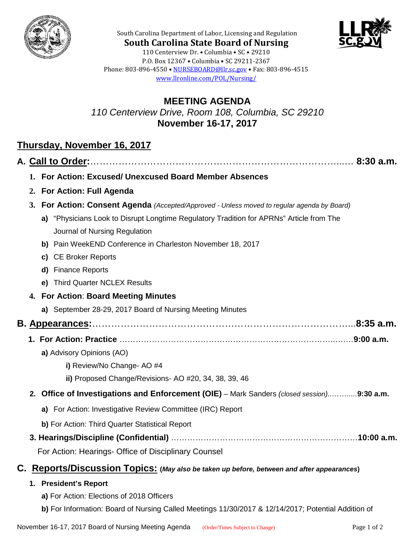



**South Carolina State Board of Nursing** 110 Centerview Dr. • Columbia • SC • 29210 P.O. Box 12367 • Columbia • SC 29211-2367 Phone: 803-896-4550 • [NURSEBOARD@llr.sc.gov](mailto:contactllr@llr.sc.gov) • Fax: 803-896-4515 [www.llronline.com/POL/Nursing/](http://www.llronline.com/POL/Nursing/)

South Carolina Department of Labor, Licensing and Regulation

## **MEETING AGENDA** *110 Centerview Drive, Room 108, Columbia, SC 29210* **November 16-17, 2017**

## **Thursday, November 16, 2017**

|    | 1. For Action: Excused/ Unexcused Board Member Absences                                     |
|----|---------------------------------------------------------------------------------------------|
|    | 2. For Action: Full Agenda                                                                  |
|    | 3. For Action: Consent Agenda (Accepted/Approved - Unless moved to regular agenda by Board) |
|    | a) "Physicians Look to Disrupt Longtime Regulatory Tradition for APRNs" Article from The    |
|    | Journal of Nursing Regulation                                                               |
|    | b) Pain WeekEND Conference in Charleston November 18, 2017                                  |
|    | c) CE Broker Reports                                                                        |
|    | d) Finance Reports                                                                          |
|    | e) Third Quarter NCLEX Results                                                              |
|    | 4. For Action: Board Meeting Minutes                                                        |
|    | a) September 28-29, 2017 Board of Nursing Meeting Minutes                                   |
|    |                                                                                             |
|    |                                                                                             |
|    | a) Advisory Opinions (AO)                                                                   |
|    | i) Review/No Change- AO #4                                                                  |
|    | ii) Proposed Change/Revisions- AO #20, 34, 38, 39, 46                                       |
|    | 2. Office of Investigations and Enforcement (OIE) - Mark Sanders (closed session)9:30 a.m.  |
|    | a) For Action: Investigative Review Committee (IRC) Report                                  |
|    | b) For Action: Third Quarter Statistical Report                                             |
|    |                                                                                             |
|    | For Action: Hearings- Office of Disciplinary Counsel                                        |
| C. | Reports/Discussion Topics: (May also be taken up before, between and after appearances)     |
|    | 1. President's Report                                                                       |
|    | a) For Action: Elections of 2018 Officers                                                   |

**b)** For Information: Board of Nursing Called Meetings 11/30/2017 & 12/14/2017; Potential Addition of